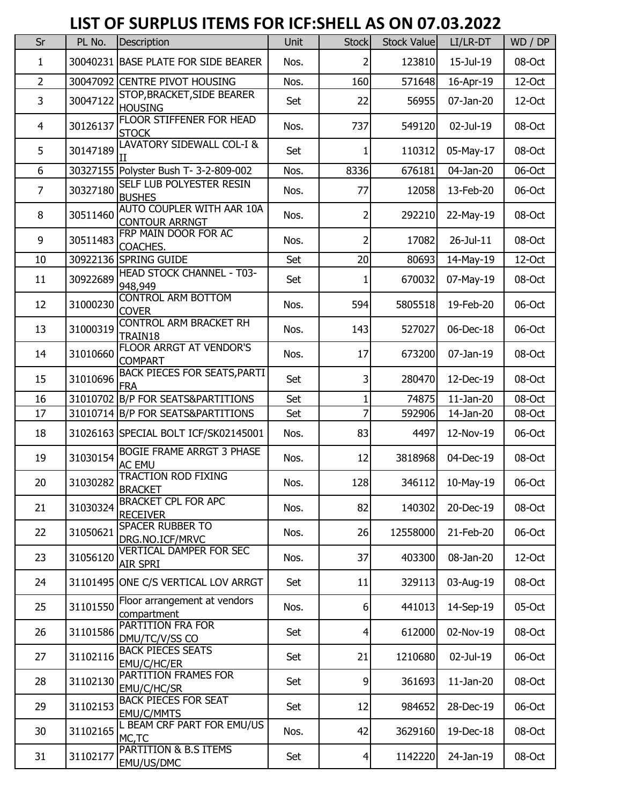## **LIST OF SURPLUS ITEMS FOR ICF:SHELL AS ON 07.03.2022**

| Sr             | PL No.   | Description                                        | Unit | <b>Stock</b>    | Stock Value | LI/LR-DT      | WD / DP   |
|----------------|----------|----------------------------------------------------|------|-----------------|-------------|---------------|-----------|
| 1              |          | 30040231 BASE PLATE FOR SIDE BEARER                | Nos. | 2               | 123810      | 15-Jul-19     | 08-Oct    |
| $\overline{2}$ |          | 30047092 CENTRE PIVOT HOUSING                      | Nos. | 160             | 571648      | 16-Apr-19     | $12$ -Oct |
| 3              | 30047122 | STOP, BRACKET, SIDE BEARER<br><b>HOUSING</b>       | Set  | 22              | 56955       | 07-Jan-20     | $12-Oct$  |
| 4              | 30126137 | FLOOR STIFFENER FOR HEAD<br><b>STOCK</b>           | Nos. | 737             | 549120      | 02-Jul-19     | 08-Oct    |
| 5              | 30147189 | LAVATORY SIDEWALL COL-I &                          | Set  |                 | 110312      | 05-May-17     | 08-Oct    |
| 6              |          | 30327155 Polyster Bush T- 3-2-809-002              | Nos. | 8336            | 676181      | 04-Jan-20     | 06-Oct    |
| $\overline{7}$ | 30327180 | SELF LUB POLYESTER RESIN<br><b>BUSHES</b>          | Nos. | 77              | 12058       | 13-Feb-20     | 06-Oct    |
| 8              | 30511460 | AUTO COUPLER WITH AAR 10A<br><b>CONTOUR ARRNGT</b> | Nos. | 2               | 292210      | 22-May-19     | 08-Oct    |
| 9              | 30511483 | FRP MAIN DOOR FOR AC<br>COACHES.                   | Nos. | 2               | 17082       | $26 -$ Jul-11 | 08-Oct    |
| 10             |          | 30922136 SPRING GUIDE                              | Set  | 20              | 80693       | 14-May-19     | 12-Oct    |
| 11             | 30922689 | <b>HEAD STOCK CHANNEL - T03-</b><br>948,949        | Set  |                 | 670032      | 07-May-19     | 08-Oct    |
| 12             | 31000230 | <b>CONTROL ARM BOTTOM</b><br><b>COVER</b>          | Nos. | 594             | 5805518     | 19-Feb-20     | 06-Oct    |
| 13             | 31000319 | <b>CONTROL ARM BRACKET RH</b><br>TRAIN18           | Nos. | 143             | 527027      | 06-Dec-18     | 06-Oct    |
| 14             | 31010660 | FLOOR ARRGT AT VENDOR'S<br><b>COMPART</b>          | Nos. | 17              | 673200      | 07-Jan-19     | 08-Oct    |
| 15             | 31010696 | <b>BACK PIECES FOR SEATS, PARTI</b><br><b>IFRA</b> | Set  | 3               | 280470      | 12-Dec-19     | 08-Oct    |
| 16             |          | 31010702 B/P FOR SEATS&PARTITIONS                  | Set  | 1               | 74875       | $11$ -Jan-20  | 08-Oct    |
| 17             |          | 31010714 B/P FOR SEATS&PARTITIONS                  | Set  | 7               | 592906      | 14-Jan-20     | 08-Oct    |
| 18             |          | 31026163 SPECIAL BOLT ICF/SK02145001               | Nos. | 83              | 4497        | 12-Nov-19     | 06-Oct    |
| 19             | 31030154 | <b>BOGIE FRAME ARRGT 3 PHASE</b><br><b>AC EMU</b>  | Nos. | 12              | 3818968     | 04-Dec-19     | 08-Oct    |
| 20             | 31030282 | <b>TRACTION ROD FIXING</b><br><b>BRACKET</b>       | Nos. | 128             | 346112      | 10-May-19     | 06-Oct    |
| 21             | 31030324 | <b>BRACKET CPL FOR APC</b><br><b>RECEIVER</b>      | Nos. | 82              | 140302      | 20-Dec-19     | 08-Oct    |
| 22             | 31050621 | <b>SPACER RUBBER TO</b><br>DRG.NO.ICF/MRVC         | Nos. | 26              | 12558000    | 21-Feb-20     | 06-Oct    |
| 23             | 31056120 | <b>VERTICAL DAMPER FOR SEC</b><br>AIR SPRI         | Nos. | 37              | 403300      | 08-Jan-20     | $12$ -Oct |
| 24             |          | 31101495 ONE C/S VERTICAL LOV ARRGT                | Set  | 11              | 329113      | 03-Aug-19     | 08-Oct    |
| 25             | 31101550 | Floor arrangement at vendors<br>compartment        | Nos. | 6               | 441013      | 14-Sep-19     | 05-Oct    |
| 26             | 31101586 | PARTITION FRA FOR<br>DMU/TC/V/SS CO                | Set  | $\overline{4}$  | 612000      | 02-Nov-19     | 08-Oct    |
| 27             | 31102116 | <b>BACK PIECES SEATS</b><br>EMU/C/HC/ER            | Set  | 21              | 1210680     | 02-Jul-19     | 06-Oct    |
| 28             | 31102130 | PARTITION FRAMES FOR<br>EMU/C/HC/SR                | Set  | 9               | 361693      | $11$ -Jan-20  | 08-Oct    |
| 29             | 31102153 | <b>BACK PIECES FOR SEAT</b><br>EMU/C/MMTS          | Set  | 12              | 984652      | 28-Dec-19     | 06-Oct    |
| 30             | 31102165 | L BEAM CRF PART FOR EMU/US<br>MC, TC               | Nos. | 42              | 3629160     | 19-Dec-18     | 08-Oct    |
| 31             | 31102177 | PARTITION & B.S ITEMS<br>EMU/US/DMC                | Set  | $\vert 4 \vert$ | 1142220     | 24-Jan-19     | 08-Oct    |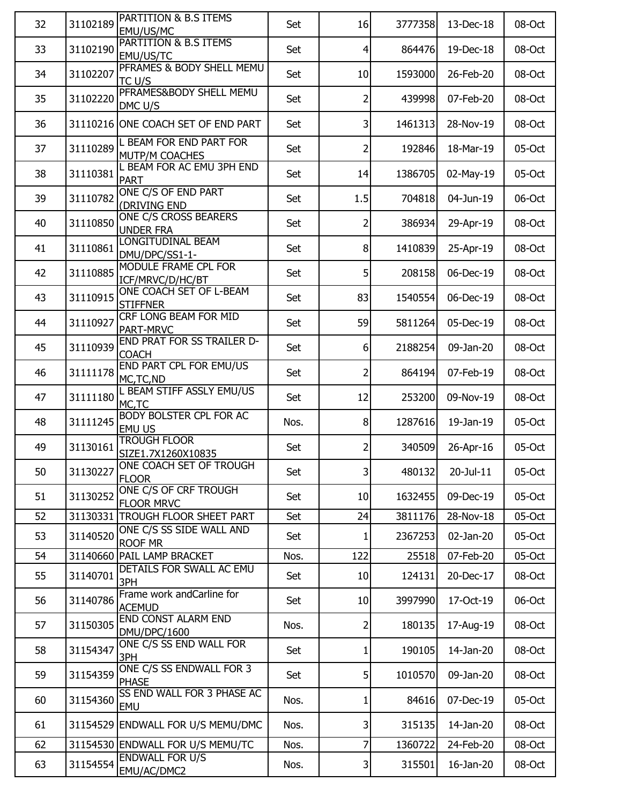| 32 | 31102189 | PARTITION & B.S ITEMS<br>EMU/US/MC                | Set  | 16              | 3777358 | 13-Dec-18 | 08-Oct   |
|----|----------|---------------------------------------------------|------|-----------------|---------|-----------|----------|
| 33 | 31102190 | PARTITION & B.S ITEMS<br>EMU/US/TC                | Set  | $\overline{4}$  | 864476  | 19-Dec-18 | 08-Oct   |
| 34 | 31102207 | PFRAMES & BODY SHELL MEMU<br>TC U/S               | Set  | 10              | 1593000 | 26-Feb-20 | 08-Oct   |
| 35 | 31102220 | PFRAMES&BODY SHELL MEMU<br>DMC U/S                | Set  | 2               | 439998  | 07-Feb-20 | 08-Oct   |
| 36 |          | 31110216 ONE COACH SET OF END PART                | Set  | 3               | 1461313 | 28-Nov-19 | 08-Oct   |
| 37 | 31110289 | L BEAM FOR END PART FOR<br><b>MUTP/M COACHES</b>  | Set  | 2               | 192846  | 18-Mar-19 | 05-Oct   |
| 38 | 31110381 | L BEAM FOR AC EMU 3PH END<br><b>PART</b>          | Set  | 14              | 1386705 | 02-May-19 | 05-Oct   |
| 39 | 31110782 | ONE C/S OF END PART<br>(DRIVING END               | Set  | 1.5             | 704818  | 04-Jun-19 | 06-Oct   |
| 40 | 31110850 | ONE C/S CROSS BEARERS<br><b>UNDER FRA</b>         | Set  | 2               | 386934  | 29-Apr-19 | 08-Oct   |
| 41 | 31110861 | LONGITUDINAL BEAM<br>DMU/DPC/SS1-1-               | Set  | 8               | 1410839 | 25-Apr-19 | 08-Oct   |
| 42 | 31110885 | MODULE FRAME CPL FOR<br>ICF/MRVC/D/HC/BT          | Set  | 5 <sup>1</sup>  | 208158  | 06-Dec-19 | 08-Oct   |
| 43 | 31110915 | ONE COACH SET OF L-BEAM<br><b>STIFFNER</b>        | Set  | 83              | 1540554 | 06-Dec-19 | 08-Oct   |
| 44 | 31110927 | CRF LONG BEAM FOR MID<br>PART-MRVC                | Set  | 59              | 5811264 | 05-Dec-19 | 08-Oct   |
| 45 | 31110939 | <b>END PRAT FOR SS TRAILER D-</b><br><b>COACH</b> | Set  | 6 <sup>1</sup>  | 2188254 | 09-Jan-20 | 08-Oct   |
| 46 | 31111178 | END PART CPL FOR EMU/US<br>MC, TC, ND             | Set  | 2               | 864194  | 07-Feb-19 | 08-Oct   |
| 47 | 31111180 | L BEAM STIFF ASSLY EMU/US<br>MC,TC                | Set  | 12              | 253200  | 09-Nov-19 | 08-Oct   |
| 48 | 31111245 | <b>BODY BOLSTER CPL FOR AC</b><br>EMU US          | Nos. | 8               | 1287616 | 19-Jan-19 | 05-Oct   |
| 49 | 31130161 | <b>TROUGH FLOOR</b><br>SIZE1.7X1260X10835         | Set  | 2               | 340509  | 26-Apr-16 | 05-Oct   |
| 50 | 31130227 | ONE COACH SET OF TROUGH<br><b>FLOOR</b>           | Set  | $\mathsf{3}$    | 480132  | 20-Jul-11 | $05-Oct$ |
| 51 | 31130252 | ONE C/S OF CRF TROUGH<br><b>FLOOR MRVC</b>        | Set  | 10              | 1632455 | 09-Dec-19 | 05-Oct   |
| 52 |          | 31130331 TROUGH FLOOR SHEET PART                  | Set  | 24              | 3811176 | 28-Nov-18 | 05-Oct   |
| 53 | 31140520 | ONE C/S SS SIDE WALL AND<br><b>ROOF MR</b>        | Set  | 1               | 2367253 | 02-Jan-20 | 05-Oct   |
| 54 |          | 31140660 PAIL LAMP BRACKET                        | Nos. | 122             | 25518   | 07-Feb-20 | 05-Oct   |
| 55 | 31140701 | DETAILS FOR SWALL AC EMU<br>3PH                   | Set  | 10 <sup>1</sup> | 124131  | 20-Dec-17 | 08-Oct   |
| 56 | 31140786 | Frame work andCarline for<br><b>ACEMUD</b>        | Set  | 10              | 3997990 | 17-Oct-19 | 06-Oct   |
| 57 | 31150305 | <b>END CONST ALARM END</b><br>DMU/DPC/1600        | Nos. | 2               | 180135  | 17-Aug-19 | 08-Oct   |
| 58 | 31154347 | ONE C/S SS END WALL FOR<br>3PH                    | Set  | 1               | 190105  | 14-Jan-20 | 08-Oct   |
| 59 | 31154359 | ONE C/S SS ENDWALL FOR 3<br><b>PHASE</b>          | Set  | 5 <sup>1</sup>  | 1010570 | 09-Jan-20 | 08-Oct   |
| 60 | 31154360 | SS END WALL FOR 3 PHASE AC<br>EMU                 | Nos. | 1               | 84616   | 07-Dec-19 | 05-Oct   |
| 61 |          | 31154529 ENDWALL FOR U/S MEMU/DMC                 | Nos. | 3               | 315135  | 14-Jan-20 | 08-Oct   |
| 62 |          | 31154530 ENDWALL FOR U/S MEMU/TC                  | Nos. | $\overline{7}$  | 1360722 | 24-Feb-20 | 08-Oct   |
| 63 | 31154554 | <b>ENDWALL FOR U/S</b><br>EMU/AC/DMC2             | Nos. | 3               | 315501  | 16-Jan-20 | 08-Oct   |
|    |          |                                                   |      |                 |         |           |          |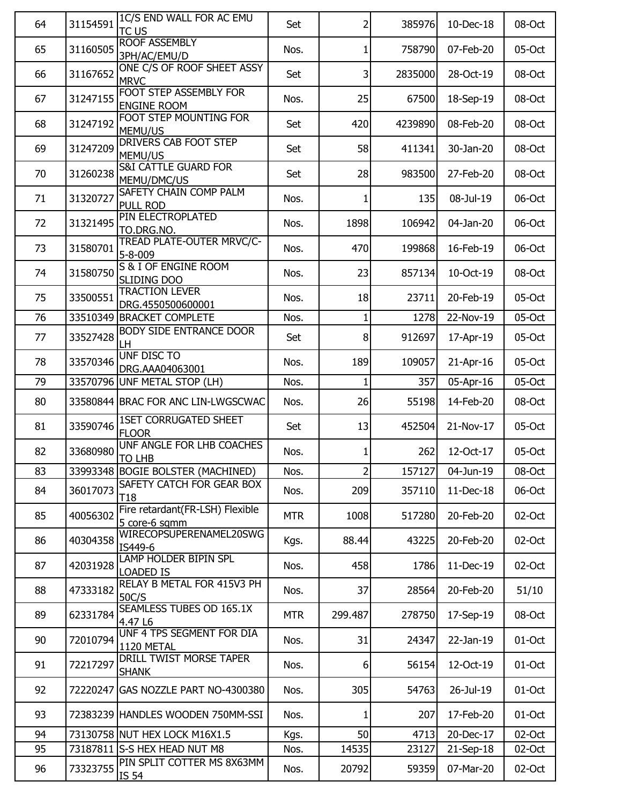| 64 | 31154591 | 1C/S END WALL FOR AC EMU<br>TC US                | Set        | $\overline{2}$ | 385976  | 10-Dec-18    | 08-Oct |
|----|----------|--------------------------------------------------|------------|----------------|---------|--------------|--------|
| 65 | 31160505 | <b>ROOF ASSEMBLY</b><br>3PH/AC/EMU/D             | Nos.       | 1              | 758790  | 07-Feb-20    | 05-Oct |
| 66 | 31167652 | ONE C/S OF ROOF SHEET ASSY<br><b>MRVC</b>        | Set        | 3              | 2835000 | 28-Oct-19    | 08-Oct |
| 67 | 31247155 | FOOT STEP ASSEMBLY FOR<br><b>ENGINE ROOM</b>     | Nos.       | 25             | 67500   | 18-Sep-19    | 08-Oct |
| 68 | 31247192 | <b>FOOT STEP MOUNTING FOR</b><br>MEMU/US         | Set        | 420            | 4239890 | 08-Feb-20    | 08-Oct |
| 69 | 31247209 | <b>DRIVERS CAB FOOT STEP</b><br>MEMU/US          | Set        | 58             | 411341  | 30-Jan-20    | 08-Oct |
| 70 | 31260238 | <b>S&amp;I CATTLE GUARD FOR</b><br>MEMU/DMC/US   | Set        | 28             | 983500  | 27-Feb-20    | 08-Oct |
| 71 | 31320727 | SAFETY CHAIN COMP PALM<br>PULL ROD               | Nos.       | 1              | 135     | 08-Jul-19    | 06-Oct |
| 72 | 31321495 | PIN ELECTROPLATED<br>TO.DRG.NO.                  | Nos.       | 1898           | 106942  | 04-Jan-20    | 06-Oct |
| 73 | 31580701 | TREAD PLATE-OUTER MRVC/C-<br>$5 - 8 - 009$       | Nos.       | 470            | 199868  | 16-Feb-19    | 06-Oct |
| 74 | 31580750 | <b>S &amp; I OF ENGINE ROOM</b><br>SLIDING DOO   | Nos.       | 23             | 857134  | 10-Oct-19    | 08-Oct |
| 75 | 33500551 | <b>TRACTION LEVER</b><br>DRG.4550500600001       | Nos.       | 18             | 23711   | 20-Feb-19    | 05-Oct |
| 76 |          | 33510349 BRACKET COMPLETE                        | Nos.       | $\mathbf{1}$   | 1278    | 22-Nov-19    | 05-Oct |
| 77 | 33527428 | <b>BODY SIDE ENTRANCE DOOR</b><br>LH             | Set        | 8              | 912697  | 17-Apr-19    | 05-Oct |
| 78 | 33570346 | UNF DISC TO<br>DRG.AAA04063001                   | Nos.       | 189            | 109057  | 21-Apr-16    | 05-Oct |
| 79 | 33570796 | UNF METAL STOP (LH)                              | Nos.       | 1              | 357     | 05-Apr-16    | 05-Oct |
| 80 |          | 33580844 BRAC FOR ANC LIN-LWGSCWAC               | Nos.       | 26             | 55198   | 14-Feb-20    | 08-Oct |
| 81 | 33590746 | <b>1SET CORRUGATED SHEET</b><br><b>FLOOR</b>     | Set        | 13             | 452504  | 21-Nov-17    | 05-Oct |
| 82 | 33680980 | UNF ANGLE FOR LHB COACHES<br>TO LHB              | Nos.       | 1              | 262     | 12-Oct-17    | 05-Oct |
| 83 |          | 33993348 BOGIE BOLSTER (MACHINED)                | Nos.       | $\overline{2}$ | 157127  | 04-Jun-19    | 08-Oct |
| 84 | 36017073 | SAFETY CATCH FOR GEAR BOX<br>T <sub>18</sub>     | Nos.       | 209            | 357110  | 11-Dec-18    | 06-Oct |
| 85 | 40056302 | Fire retardant(FR-LSH) Flexible<br>5 core-6 sqmm | <b>MTR</b> | 1008           | 517280  | 20-Feb-20    | 02-Oct |
| 86 | 40304358 | WIRECOPSUPERENAMEL20SWG<br>IS449-6               | Kgs.       | 88.44          | 43225   | 20-Feb-20    | 02-Oct |
| 87 | 42031928 | LAMP HOLDER BIPIN SPL<br><b>LOADED IS</b>        | Nos.       | 458            | 1786    | $11$ -Dec-19 | 02-Oct |
| 88 | 47333182 | RELAY B METAL FOR 415V3 PH<br>50C/S              | Nos.       | 37             | 28564   | 20-Feb-20    | 51/10  |
| 89 | 62331784 | SEAMLESS TUBES OD 165.1X<br>4.47 L6              | <b>MTR</b> | 299.487        | 278750  | 17-Sep-19    | 08-Oct |
| 90 | 72010794 | UNF 4 TPS SEGMENT FOR DIA<br>1120 METAL          | Nos.       | 31             | 24347   | 22-Jan-19    | 01-Oct |
| 91 | 72217297 | DRILL TWIST MORSE TAPER<br><b>SHANK</b>          | Nos.       | 6              | 56154   | 12-Oct-19    | 01-Oct |
| 92 | 72220247 | GAS NOZZLE PART NO-4300380                       | Nos.       | 305            | 54763   | 26-Jul-19    | 01-Oct |
| 93 |          | 72383239 HANDLES WOODEN 750MM-SSI                | Nos.       | 1              | 207     | 17-Feb-20    | 01-Oct |
| 94 |          | 73130758 NUT HEX LOCK M16X1.5                    | Kgs.       | 50             | 4713    | 20-Dec-17    | 02-Oct |
| 95 |          | 73187811 S-S HEX HEAD NUT M8                     | Nos.       | 14535          | 23127   | $21-Sep-18$  | 02-Oct |
| 96 | 73323755 | PIN SPLIT COTTER MS 8X63MM<br>IS 54              | Nos.       | 20792          | 59359   | 07-Mar-20    | 02-Oct |
|    |          |                                                  |            |                |         |              |        |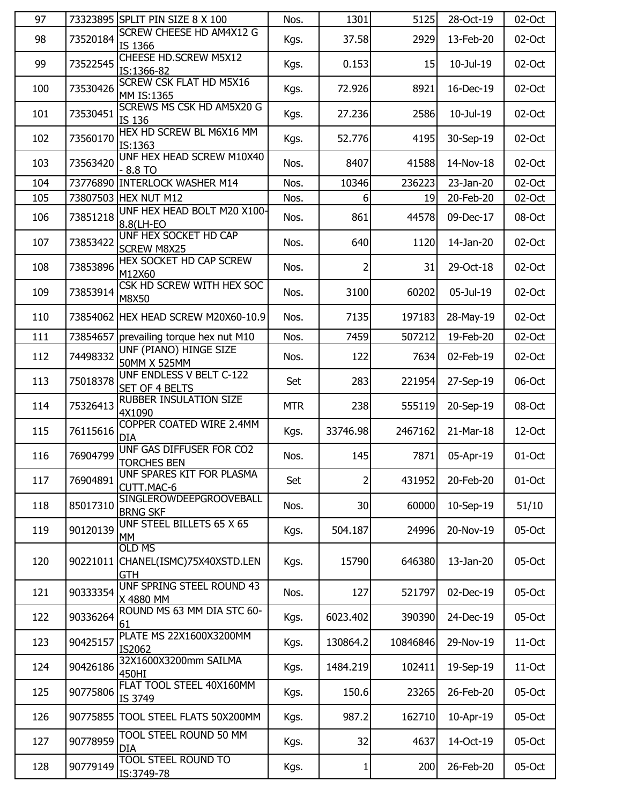| 97  |          | 73323895 SPLIT PIN SIZE 8 X 100                          | Nos.       | 1301     | 5125     | 28-Oct-19 | 02-Oct   |
|-----|----------|----------------------------------------------------------|------------|----------|----------|-----------|----------|
| 98  | 73520184 | <b>SCREW CHEESE HD AM4X12 G</b><br>IS 1366               | Kgs.       | 37.58    | 2929     | 13-Feb-20 | 02-Oct   |
| 99  | 73522545 | <b>CHEESE HD.SCREW M5X12</b><br>IS:1366-82               | Kgs.       | 0.153    | 15       | 10-Jul-19 | 02-Oct   |
| 100 | 73530426 | <b>SCREW CSK FLAT HD M5X16</b><br>MM IS:1365             | Kgs.       | 72.926   | 8921     | 16-Dec-19 | 02-Oct   |
| 101 | 73530451 | <b>SCREWS MS CSK HD AM5X20 G</b><br>IS 136               | Kgs.       | 27.236   | 2586     | 10-Jul-19 | 02-Oct   |
| 102 | 73560170 | HEX HD SCREW BL M6X16 MM<br>IS:1363                      | Kgs.       | 52.776   | 4195     | 30-Sep-19 | 02-Oct   |
| 103 | 73563420 | UNF HEX HEAD SCREW M10X40<br>$-8.8$ TO                   | Nos.       | 8407     | 41588    | 14-Nov-18 | 02-Oct   |
| 104 |          | 73776890 INTERLOCK WASHER M14                            | Nos.       | 10346    | 236223   | 23-Jan-20 | 02-Oct   |
| 105 |          | 73807503 HEX NUT M12                                     | Nos.       | 6        | 19       | 20-Feb-20 | 02-Oct   |
| 106 | 73851218 | UNF HEX HEAD BOLT M20 X100-<br>8.8(LH-EO                 | Nos.       | 861      | 44578    | 09-Dec-17 | 08-Oct   |
| 107 | 73853422 | UNF HEX SOCKET HD CAP<br><b>SCREW M8X25</b>              | Nos.       | 640      | 1120     | 14-Jan-20 | 02-Oct   |
| 108 | 73853896 | HEX SOCKET HD CAP SCREW<br>M12X60                        | Nos.       | 2        | 31       | 29-Oct-18 | 02-Oct   |
| 109 | 73853914 | CSK HD SCREW WITH HEX SOC<br>M8X50                       | Nos.       | 3100     | 60202    | 05-Jul-19 | 02-Oct   |
| 110 |          | 73854062 HEX HEAD SCREW M20X60-10.9                      | Nos.       | 7135     | 197183   | 28-May-19 | 02-Oct   |
| 111 |          | 73854657 prevailing torque hex nut M10                   | Nos.       | 7459     | 507212   | 19-Feb-20 | 02-Oct   |
| 112 | 74498332 | UNF (PIANO) HINGE SIZE<br>50MM X 525MM                   | Nos.       | 122      | 7634     | 02-Feb-19 | 02-Oct   |
| 113 | 75018378 | UNF ENDLESS V BELT C-122<br>SET OF 4 BELTS               | Set        | 283      | 221954   | 27-Sep-19 | 06-Oct   |
| 114 | 75326413 | RUBBER INSULATION SIZE<br>4X1090                         | <b>MTR</b> | 238      | 555119   | 20-Sep-19 | 08-Oct   |
| 115 | 76115616 | COPPER COATED WIRE 2.4MM<br><b>DIA</b>                   | Kgs.       | 33746.98 | 2467162  | 21-Mar-18 | 12-Oct   |
| 116 | 76904799 | UNF GAS DIFFUSER FOR CO2<br>TORCHES BEN                  | Nos.       | 145      | 7871     | 05-Apr-19 | 01-Oct   |
| 117 | 76904891 | UNF SPARES KIT FOR PLASMA<br>CUTT.MAC-6                  | Set        | 2        | 431952   | 20-Feb-20 | 01-Oct   |
| 118 | 85017310 | SINGLEROWDEEPGROOVEBALL<br><b>BRNG SKF</b>               | Nos.       | 30       | 60000    | 10-Sep-19 | 51/10    |
| 119 | 90120139 | UNF STEEL BILLETS 65 X 65<br>MM                          | Kgs.       | 504.187  | 24996    | 20-Nov-19 | 05-Oct   |
| 120 | 90221011 | <b>OLD MS</b><br>CHANEL(ISMC)75X40XSTD.LEN<br><b>GTH</b> | Kgs.       | 15790    | 646380   | 13-Jan-20 | 05-Oct   |
| 121 | 90333354 | UNF SPRING STEEL ROUND 43<br>X 4880 MM                   | Nos.       | 127      | 521797   | 02-Dec-19 | 05-Oct   |
| 122 | 90336264 | ROUND MS 63 MM DIA STC 60-<br>61                         | Kgs.       | 6023.402 | 390390   | 24-Dec-19 | 05-Oct   |
| 123 | 90425157 | PLATE MS 22X1600X3200MM<br>IS2062                        | Kgs.       | 130864.2 | 10846846 | 29-Nov-19 | $11-Oct$ |
| 124 | 90426186 | 32X1600X3200mm SAILMA<br>450HI                           | Kgs.       | 1484.219 | 102411   | 19-Sep-19 | $11-Oct$ |
| 125 | 90775806 | FLAT TOOL STEEL 40X160MM<br>IS 3749                      | Kgs.       | 150.6    | 23265    | 26-Feb-20 | 05-Oct   |
| 126 |          | 90775855 TOOL STEEL FLATS 50X200MM                       | Kgs.       | 987.2    | 162710   | 10-Apr-19 | 05-Oct   |
| 127 | 90778959 | TOOL STEEL ROUND 50 MM<br><b>DIA</b>                     | Kgs.       | 32       | 4637     | 14-Oct-19 | 05-Oct   |
| 128 | 90779149 | <b>TOOL STEEL ROUND TO</b><br>IS:3749-78                 | Kgs.       | 1        | 200      | 26-Feb-20 | 05-Oct   |